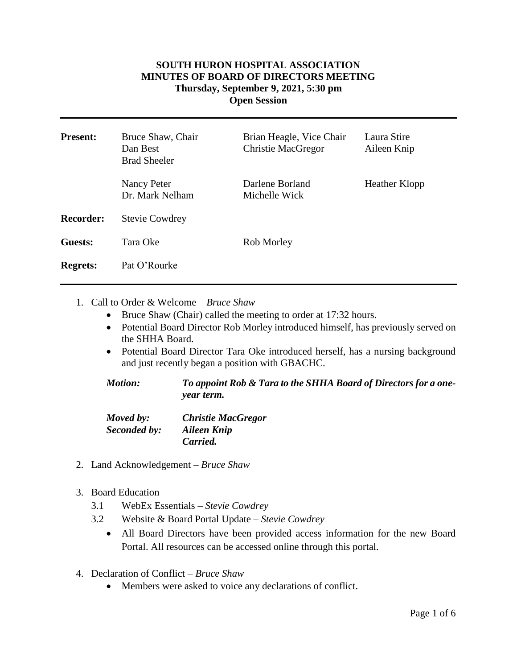## **SOUTH HURON HOSPITAL ASSOCIATION MINUTES OF BOARD OF DIRECTORS MEETING Thursday, September 9, 2021, 5:30 pm Open Session**

| <b>Present:</b>  | Bruce Shaw, Chair<br>Dan Best<br><b>Brad Sheeler</b> | Brian Heagle, Vice Chair<br><b>Christie MacGregor</b> | Laura Stire<br>Aileen Knip |
|------------------|------------------------------------------------------|-------------------------------------------------------|----------------------------|
|                  | Nancy Peter<br>Dr. Mark Nelham                       | Darlene Borland<br>Michelle Wick                      | Heather Klopp              |
| <b>Recorder:</b> | <b>Stevie Cowdrey</b>                                |                                                       |                            |
| Guests:          | Tara Oke                                             | Rob Morley                                            |                            |
| <b>Regrets:</b>  | Pat O'Rourke                                         |                                                       |                            |

1. Call to Order & Welcome – *Bruce Shaw*

- Bruce Shaw (Chair) called the meeting to order at 17:32 hours.
- Potential Board Director Rob Morley introduced himself, has previously served on the SHHA Board.
- Potential Board Director Tara Oke introduced herself, has a nursing background and just recently began a position with GBACHC.

| <b>Motion:</b> | To appoint Rob & Tara to the SHHA Board of Directors for a one- |
|----------------|-----------------------------------------------------------------|
|                | <i>vear term.</i>                                               |

| Moved by:    | <b>Christie MacGregor</b> |
|--------------|---------------------------|
| Seconded by: | Aileen Knip               |
|              | Carried.                  |

- 2. Land Acknowledgement *Bruce Shaw*
- 3. Board Education
	- 3.1 WebEx Essentials *Stevie Cowdrey*
	- 3.2 Website & Board Portal Update *Stevie Cowdrey*
		- All Board Directors have been provided access information for the new Board Portal. All resources can be accessed online through this portal.
- 4. Declaration of Conflict *– Bruce Shaw*
	- Members were asked to voice any declarations of conflict.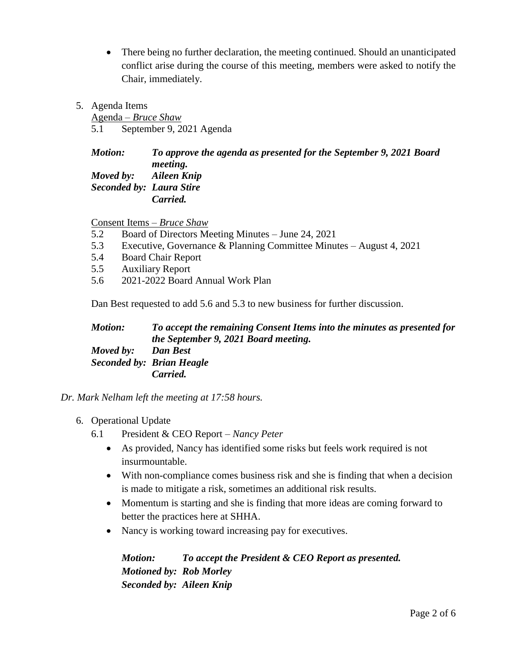- There being no further declaration, the meeting continued. Should an unanticipated conflict arise during the course of this meeting, members were asked to notify the Chair, immediately.
- 5. Agenda Items

Agenda – *Bruce Shaw* 5.1 September 9, 2021 Agenda

## *Motion: To approve the agenda as presented for the September 9, 2021 Board meeting. Moved by: Aileen Knip Seconded by: Laura Stire Carried.*

Consent Items – *Bruce Shaw*

- 5.2 Board of Directors Meeting Minutes June 24, 2021
- 5.3 Executive, Governance & Planning Committee Minutes August 4, 2021
- 5.4 Board Chair Report
- 5.5 Auxiliary Report
- 5.6 2021-2022 Board Annual Work Plan

Dan Best requested to add 5.6 and 5.3 to new business for further discussion.

*Motion: To accept the remaining Consent Items into the minutes as presented for the September 9, 2021 Board meeting. Moved by: Dan Best Seconded by: Brian Heagle Carried.*

*Dr. Mark Nelham left the meeting at 17:58 hours.*

- 6. Operational Update
	- 6.1 President & CEO Report *Nancy Peter*
		- As provided, Nancy has identified some risks but feels work required is not insurmountable.
		- With non-compliance comes business risk and she is finding that when a decision is made to mitigate a risk, sometimes an additional risk results.
		- Momentum is starting and she is finding that more ideas are coming forward to better the practices here at SHHA.
		- Nancy is working toward increasing pay for executives.

*Motion: To accept the President & CEO Report as presented. Motioned by: Rob Morley Seconded by: Aileen Knip*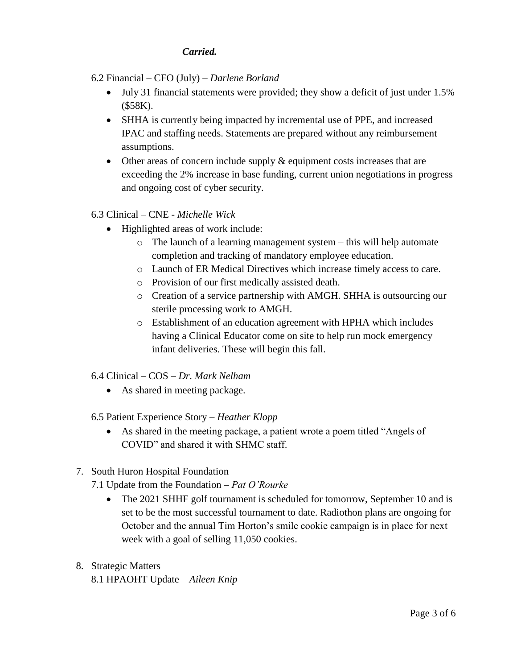## *Carried.*

- 6.2 Financial CFO (July) *Darlene Borland*
	- July 31 financial statements were provided; they show a deficit of just under 1.5% (\$58K).
	- SHHA is currently being impacted by incremental use of PPE, and increased IPAC and staffing needs. Statements are prepared without any reimbursement assumptions.
	- Other areas of concern include supply  $\&$  equipment costs increases that are exceeding the 2% increase in base funding, current union negotiations in progress and ongoing cost of cyber security.
- 6.3 Clinical CNE *Michelle Wick*
	- Highlighted areas of work include:
		- o The launch of a learning management system this will help automate completion and tracking of mandatory employee education.
		- o Launch of ER Medical Directives which increase timely access to care.
		- o Provision of our first medically assisted death.
		- o Creation of a service partnership with AMGH. SHHA is outsourcing our sterile processing work to AMGH.
		- o Establishment of an education agreement with HPHA which includes having a Clinical Educator come on site to help run mock emergency infant deliveries. These will begin this fall.
- 6.4 Clinical COS *Dr. Mark Nelham*
	- As shared in meeting package.
- 6.5 Patient Experience Story *Heather Klopp*
	- As shared in the meeting package, a patient wrote a poem titled "Angels of COVID" and shared it with SHMC staff.
- 7. South Huron Hospital Foundation
	- 7.1 Update from the Foundation *Pat O'Rourke*
		- The 2021 SHHF golf tournament is scheduled for tomorrow, September 10 and is set to be the most successful tournament to date. Radiothon plans are ongoing for October and the annual Tim Horton's smile cookie campaign is in place for next week with a goal of selling 11,050 cookies.
- 8. Strategic Matters 8.1 HPAOHT Update – *Aileen Knip*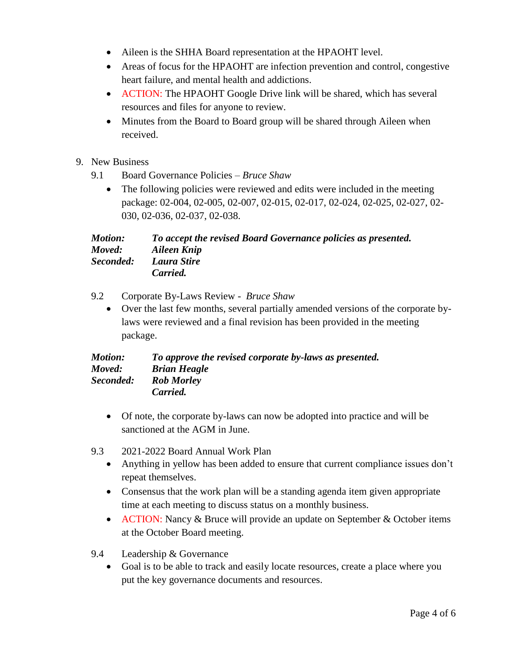- Aileen is the SHHA Board representation at the HPAOHT level.
- Areas of focus for the HPAOHT are infection prevention and control, congestive heart failure, and mental health and addictions.
- ACTION: The HPAOHT Google Drive link will be shared, which has several resources and files for anyone to review.
- Minutes from the Board to Board group will be shared through Aileen when received.
- 9. New Business
	- 9.1 Board Governance Policies *Bruce Shaw*
		- The following policies were reviewed and edits were included in the meeting package: 02-004, 02-005, 02-007, 02-015, 02-017, 02-024, 02-025, 02-027, 02- 030, 02-036, 02-037, 02-038.

*Motion: To accept the revised Board Governance policies as presented. Moved: Aileen Knip Seconded: Laura Stire Carried.*

- 9.2 Corporate By-Laws Review *Bruce Shaw*
	- Over the last few months, several partially amended versions of the corporate bylaws were reviewed and a final revision has been provided in the meeting package.

| <b>Motion:</b> | To approve the revised corporate by-laws as presented. |
|----------------|--------------------------------------------------------|
| Moved:         | <b>Brian Heagle</b>                                    |
| Seconded:      | <b>Rob Morley</b>                                      |
|                | Carried.                                               |

- Of note, the corporate by-laws can now be adopted into practice and will be sanctioned at the AGM in June.
- 9.3 2021-2022 Board Annual Work Plan
	- Anything in yellow has been added to ensure that current compliance issues don't repeat themselves.
	- Consensus that the work plan will be a standing agenda item given appropriate time at each meeting to discuss status on a monthly business.
	- ACTION: Nancy & Bruce will provide an update on September & October items at the October Board meeting.
- 9.4 Leadership & Governance
	- Goal is to be able to track and easily locate resources, create a place where you put the key governance documents and resources.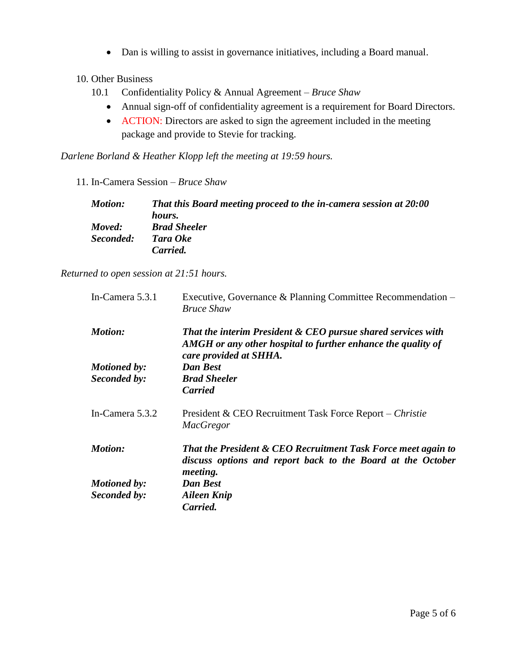- Dan is willing to assist in governance initiatives, including a Board manual.
- 10. Other Business
	- 10.1 Confidentiality Policy & Annual Agreement *Bruce Shaw*
		- Annual sign-off of confidentiality agreement is a requirement for Board Directors.
		- ACTION: Directors are asked to sign the agreement included in the meeting package and provide to Stevie for tracking.

*Darlene Borland & Heather Klopp left the meeting at 19:59 hours.*

11. In-Camera Session – *Bruce Shaw*

| <b>Motion:</b> | That this Board meeting proceed to the in-camera session at 20:00 |
|----------------|-------------------------------------------------------------------|
|                | hours.                                                            |
| Moved:         | <b>Brad Sheeler</b>                                               |
| Seconded:      | Tara Oke                                                          |
|                | Carried.                                                          |

*Returned to open session at 21:51 hours.*

| In-Camera 5.3.1     | Executive, Governance & Planning Committee Recommendation –<br><b>Bruce Shaw</b>                                                                       |
|---------------------|--------------------------------------------------------------------------------------------------------------------------------------------------------|
| <b>Motion:</b>      | That the interim President & CEO pursue shared services with<br>AMGH or any other hospital to further enhance the quality of<br>care provided at SHHA. |
| <b>Motioned by:</b> | <b>Dan Best</b>                                                                                                                                        |
| Seconded by:        | <b>Brad Sheeler</b>                                                                                                                                    |
|                     | <b>Carried</b>                                                                                                                                         |
| In-Camera 5.3.2     | President & CEO Recruitment Task Force Report – Christie<br><b>MacGregor</b>                                                                           |
| <b>Motion:</b>      | That the President & CEO Recruitment Task Force meet again to<br>discuss options and report back to the Board at the October<br>meeting.               |
| <b>Motioned by:</b> | Dan Best                                                                                                                                               |
| Seconded by:        | <b>Aileen Knip</b>                                                                                                                                     |
|                     | Carried.                                                                                                                                               |